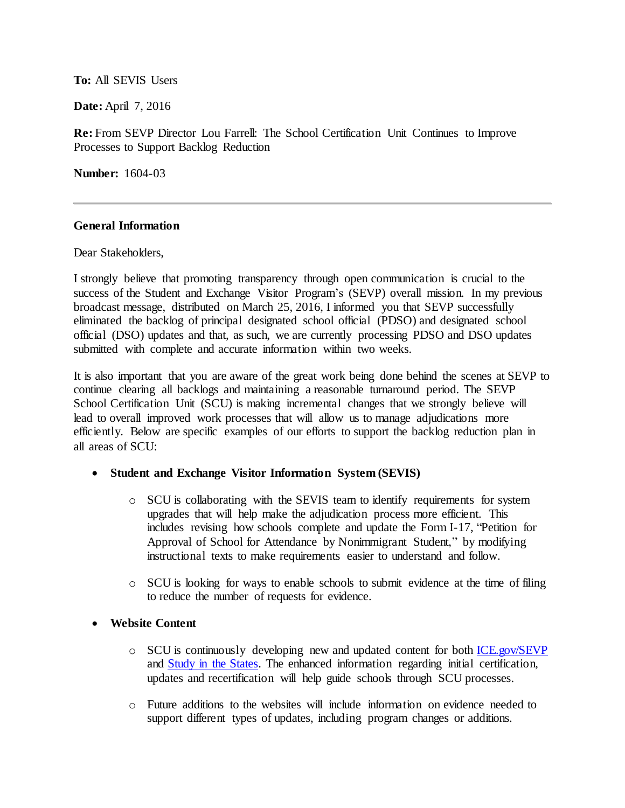#### **To:** All SEVIS Users

**Date:** April 7, 2016

**Re:** From SEVP Director Lou Farrell: The School Certification Unit Continues to Improve Processes to Support Backlog Reduction

**Number:** 1604-03

#### **General Information**

Dear Stakeholders,

I strongly believe that promoting transparency through open communication is crucial to the success of the Student and Exchange Visitor Program's (SEVP) overall mission. In my previous broadcast message, distributed on March 25, 2016, I informed you that SEVP successfully eliminated the backlog of principal designated school official (PDSO) and designated school official (DSO) updates and that, as such, we are currently processing PDSO and DSO updates submitted with complete and accurate information within two weeks.

It is also important that you are aware of the great work being done behind the scenes at SEVP to continue clearing all backlogs and maintaining a reasonable turnaround period. The SEVP School Certification Unit (SCU) is making incremental changes that we strongly believe will lead to overall improved work processes that will allow us to manage adjudications more efficiently. Below are specific examples of our efforts to support the backlog reduction plan in all areas of SCU:

### **Student and Exchange Visitor Information System (SEVIS)**

- o SCU is collaborating with the SEVIS team to identify requirements for system upgrades that will help make the adjudication process more efficient. This includes revising how schools complete and update the Form I-17, "Petition for Approval of School for Attendance by Nonimmigrant Student," by modifying instructional texts to make requirements easier to understand and follow.
- o SCU is looking for ways to enable schools to submit evidence at the time of filing to reduce the number of requests for evidence.
- **Website Content**
	- o SCU is continuously developing new and updated content for bot[h ICE.gov/SEVP](https://www.ice.gov/sevis) and [Study in the States.](https://studyinthestates.dhs.gov/) The enhanced information regarding initial certification, updates and recertification will help guide schools through SCU processes.
	- o Future additions to the websites will include information on evidence needed to support different types of updates, including program changes or additions.